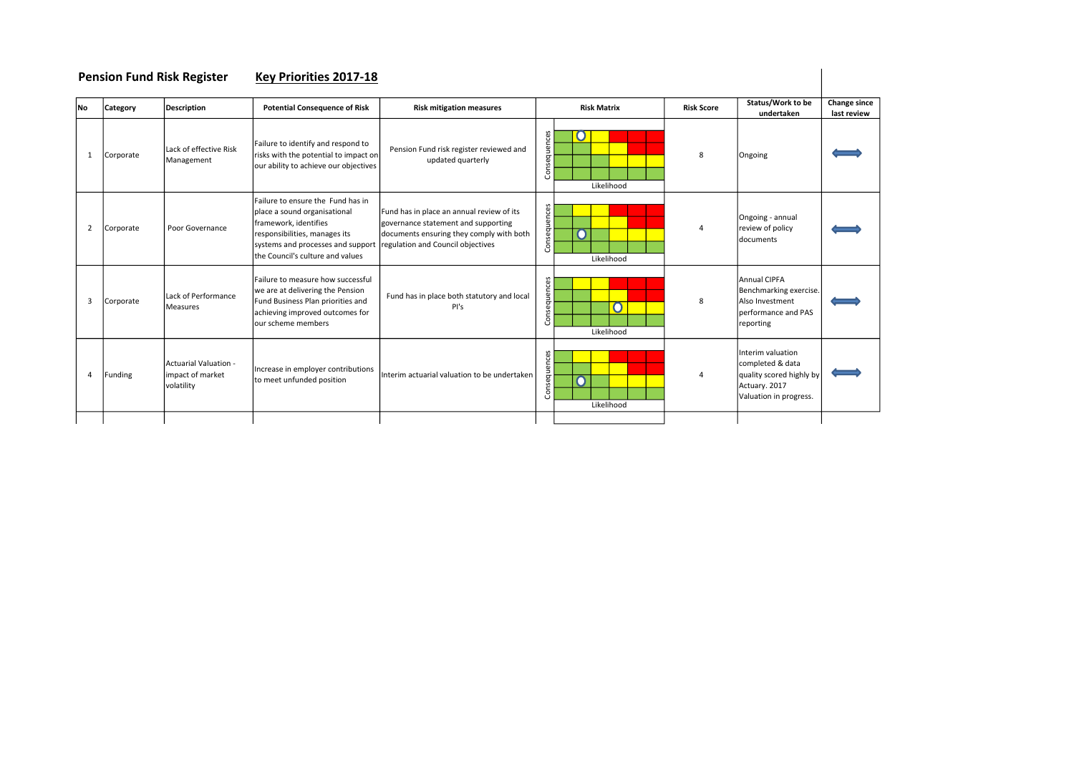| <b>Pension Fund Risk Register</b> |           |                                                         | Key Priorities 2017-18                                                                                                                                                                               |                                                                                                                                                                   |              |                    |                   |                                                                                                              |                             |
|-----------------------------------|-----------|---------------------------------------------------------|------------------------------------------------------------------------------------------------------------------------------------------------------------------------------------------------------|-------------------------------------------------------------------------------------------------------------------------------------------------------------------|--------------|--------------------|-------------------|--------------------------------------------------------------------------------------------------------------|-----------------------------|
| <b>No</b>                         | Category  | <b>Description</b>                                      | <b>Potential Consequence of Risk</b>                                                                                                                                                                 | <b>Risk mitigation measures</b>                                                                                                                                   |              | <b>Risk Matrix</b> | <b>Risk Score</b> | Status/Work to be<br>undertaken                                                                              | Change since<br>last review |
| $\mathbf{1}$                      | Corporate | Lack of effective Risk<br>Management                    | Failure to identify and respond to<br>risks with the potential to impact on<br>our ability to achieve our objectives                                                                                 | Pension Fund risk register reviewed and<br>updated quarterly                                                                                                      | Consequences | O<br>Likelihood    | 8                 | Ongoing                                                                                                      |                             |
| 2                                 | Corporate | Poor Governance                                         | Failure to ensure the Fund has in<br>place a sound organisational<br>framework, identifies<br>responsibilities, manages its<br>systems and processes and support<br>the Council's culture and values | Fund has in place an annual review of its<br>governance statement and supporting<br>documents ensuring they comply with both<br>regulation and Council objectives | Consequences | O<br>Likelihood    |                   | Ongoing - annual<br>review of policy<br><b>documents</b>                                                     |                             |
| 3                                 | Corporate | Lack of Performance<br>Measures                         | Failure to measure how successful<br>we are at delivering the Pension<br>Fund Business Plan priorities and<br>achieving improved outcomes for<br>lour scheme members                                 | Fund has in place both statutory and local<br>PI's                                                                                                                | Consequences | 0<br>Likelihood    | 8                 | Annual CIPFA<br>Benchmarking exercise.<br>Also Investment<br>berformance and PAS<br>reporting                |                             |
| $\overline{4}$                    | Funding   | - Actuarial Valuation<br>impact of market<br>volatility | Increase in employer contributions<br>to meet unfunded position                                                                                                                                      | Interim actuarial valuation to be undertaken                                                                                                                      | Consequences | O<br>Likelihood    | 4                 | Interim valuation<br>completed & data<br>quality scored highly by<br>Actuary. 2017<br>Valuation in progress. |                             |
|                                   |           |                                                         |                                                                                                                                                                                                      |                                                                                                                                                                   |              |                    |                   |                                                                                                              |                             |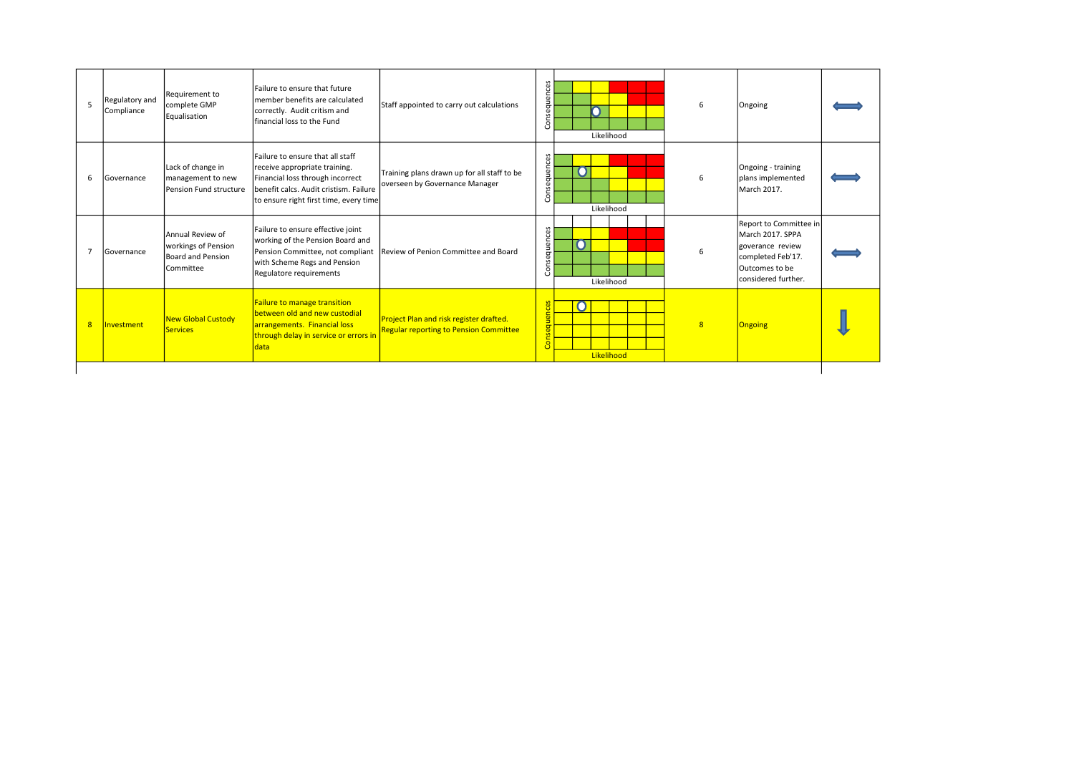| 5 | Regulatory and<br>Compliance | Requirement to<br>complete GMP<br>Equalisation                                   | Failure to ensure that future<br>Imember benefits are calculated<br>correctly. Audit critism and<br>financial loss to the Fund                                                            | Staff appointed to carry out calculations                                                | Consequences | Likelihood      | 6 | Ongoing                                                                                                                       |  |
|---|------------------------------|----------------------------------------------------------------------------------|-------------------------------------------------------------------------------------------------------------------------------------------------------------------------------------------|------------------------------------------------------------------------------------------|--------------|-----------------|---|-------------------------------------------------------------------------------------------------------------------------------|--|
| 6 | Governance                   | Lack of change in<br>management to new<br>Pension Fund structure                 | Failure to ensure that all staff<br>receive appropriate training.<br>Financial loss through incorrect<br>benefit calcs. Audit cristism. Failure<br>to ensure right first time, every time | Training plans drawn up for all staff to be<br>overseen by Governance Manager            | Consequences | O<br>Likelihood | 6 | Ongoing - training<br>plans implemented<br>March 2017.                                                                        |  |
| 7 | Governance                   | Annual Review of<br>workings of Pension<br>Board and Pension<br><b>Committee</b> | Failure to ensure effective joint<br>working of the Pension Board and<br>Pension Committee, not compliant<br>with Scheme Regs and Pension<br>Regulatore requirements                      | Review of Penion Committee and Board                                                     | Consequences | Likelihood      | 6 | Report to Committee in<br>March 2017. SPPA<br>Igoverance review<br>completed Feb'17.<br>Outcomes to be<br>considered further. |  |
| 8 | Investment                   | <b>New Global Custody</b><br><b>Services</b>                                     | <b>Failure to manage transition</b><br>between old and new custodial<br>arrangements. Financial loss<br>through delay in service or errors in<br>data                                     | Project Plan and risk register drafted.<br><b>Regular reporting to Pension Committee</b> | Consequence  | U<br>Likelihood | 8 | Ongoing                                                                                                                       |  |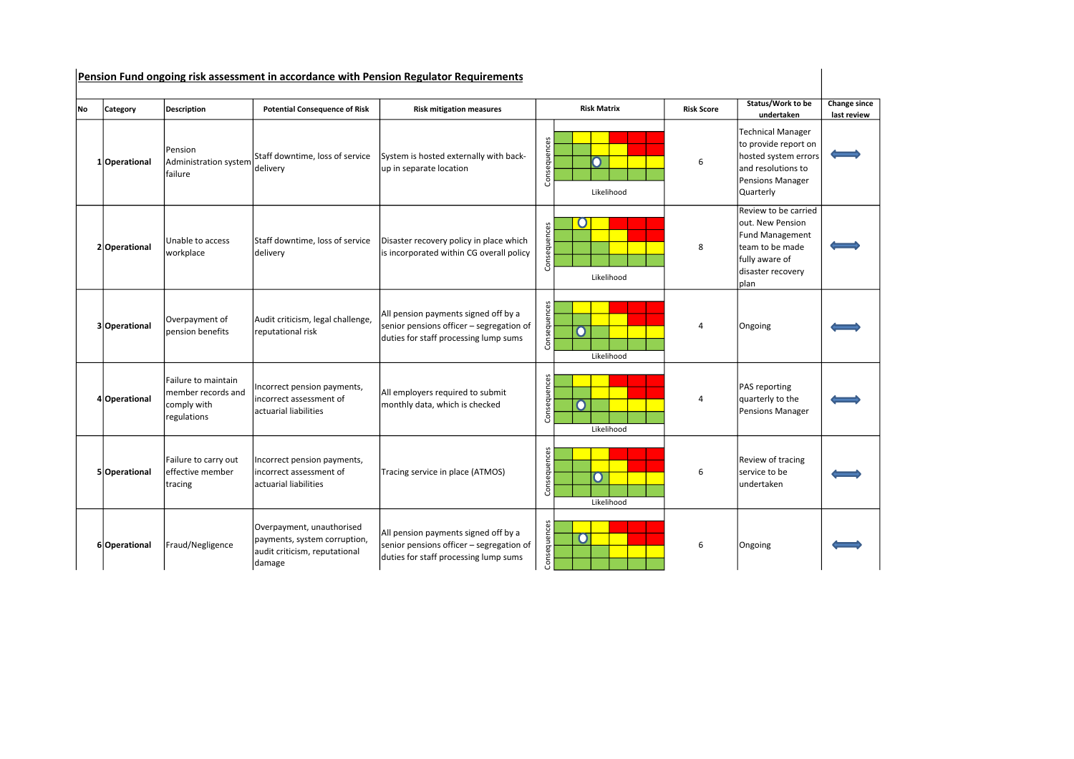|     | Pension Fund ongoing risk assessment in accordance with Pension Regulator Requirements |                                                                         |                                                                                                      |                                                                                                                           |              |                    |                   |                                                                                                                                      |                             |  |  |
|-----|----------------------------------------------------------------------------------------|-------------------------------------------------------------------------|------------------------------------------------------------------------------------------------------|---------------------------------------------------------------------------------------------------------------------------|--------------|--------------------|-------------------|--------------------------------------------------------------------------------------------------------------------------------------|-----------------------------|--|--|
| lNo | Category                                                                               | Description                                                             | <b>Potential Consequence of Risk</b>                                                                 | <b>Risk mitigation measures</b>                                                                                           |              | <b>Risk Matrix</b> | <b>Risk Score</b> | Status/Work to be<br>undertaken                                                                                                      | Change since<br>last review |  |  |
|     | 1 Operational                                                                          | Pension<br>Administration system<br>failure                             | Staff downtime, loss of service<br>delivery                                                          | System is hosted externally with back-<br>up in separate location                                                         | Consequences | n<br>Likelihood    | 6                 | <b>Technical Manager</b><br>to provide report on<br>hosted system errors<br>and resolutions to<br>Pensions Manager<br>Quarterly      |                             |  |  |
|     | 2 Operational                                                                          | Unable to access<br>workplace                                           | Staff downtime, loss of service<br>delivery                                                          | Disaster recovery policy in place which<br>is incorporated within CG overall policy                                       | Consequences | Ő<br>Likelihood    | 8                 | Review to be carried<br>out. New Pension<br><b>Fund Management</b><br>team to be made<br>fully aware of<br>disaster recovery<br>plan |                             |  |  |
|     | 3 Operational                                                                          | Overpayment of<br>pension benefits                                      | Audit criticism, legal challenge,<br>reputational risk                                               | All pension payments signed off by a<br>senior pensions officer - segregation of<br>duties for staff processing lump sums | Consequences | O<br>Likelihood    | 4                 | Ongoing                                                                                                                              |                             |  |  |
|     | 4 Operational                                                                          | Failure to maintain<br>member records and<br>comply with<br>regulations | Incorrect pension payments,<br>incorrect assessment of<br>actuarial liabilities                      | All employers required to submit<br>monthly data, which is checked                                                        | Consequences | n<br>Likelihood    | 4                 | PAS reporting<br>quarterly to the<br>Pensions Manager                                                                                |                             |  |  |
|     | 5 Operational                                                                          | Failure to carry out<br>effective member<br>tracing                     | Incorrect pension payments,<br>incorrect assessment of<br>actuarial liabilities                      | Tracing service in place (ATMOS)                                                                                          | Consequences | O<br>Likelihood    | 6                 | Review of tracing<br>service to be<br>undertaken                                                                                     |                             |  |  |
|     | 6 Operational                                                                          | Fraud/Negligence                                                        | Overpayment, unauthorised<br>payments, system corruption,<br>audit criticism, reputational<br>damage | All pension payments signed off by a<br>senior pensions officer - segregation of<br>duties for staff processing lump sums | Consequences | O                  | 6                 | Ongoing                                                                                                                              |                             |  |  |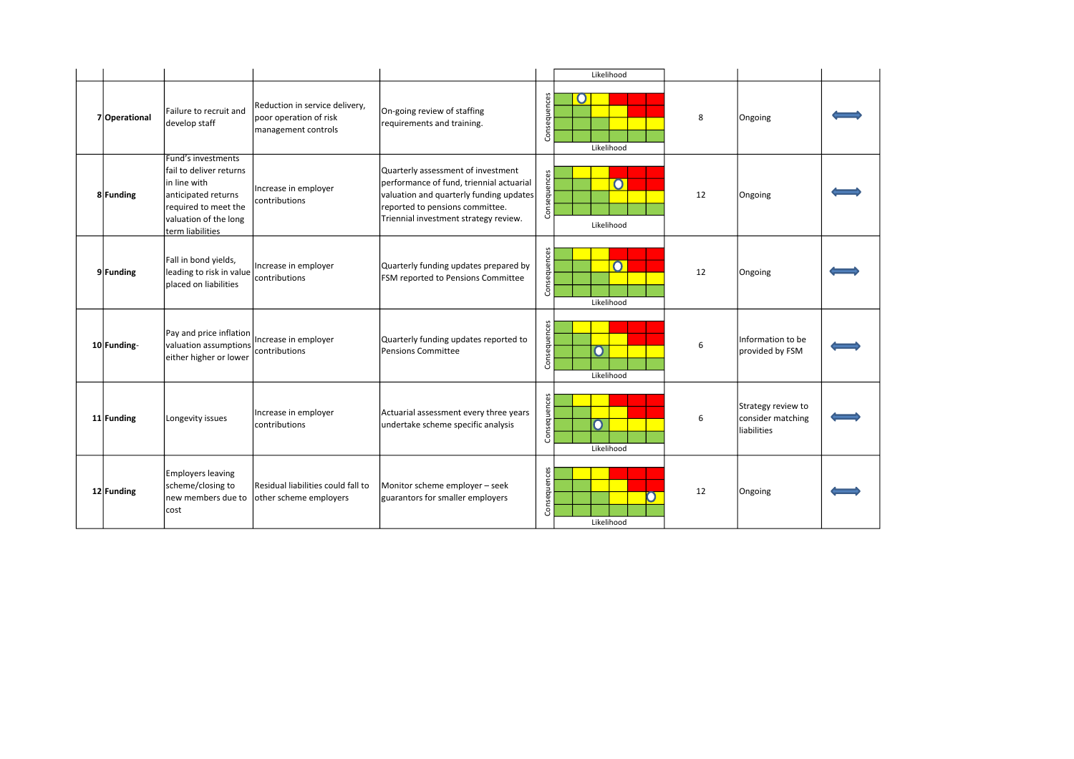|               |                                                                                                                                                            |                                                                                 |                                                                                                                                                                                                       |              | Likelihood             |    |                                                        |  |
|---------------|------------------------------------------------------------------------------------------------------------------------------------------------------------|---------------------------------------------------------------------------------|-------------------------------------------------------------------------------------------------------------------------------------------------------------------------------------------------------|--------------|------------------------|----|--------------------------------------------------------|--|
| 7 Operational | Failure to recruit and<br>develop staff                                                                                                                    | Reduction in service delivery,<br>poor operation of risk<br>management controls | On-going review of staffing<br>requirements and training.                                                                                                                                             | Consequences | Ő<br>Likelihood        | 8  | Ongoing                                                |  |
| 8 Funding     | Fund's investments<br>Ifail to deliver returns<br>in line with<br>anticipated returns<br>required to meet the<br>valuation of the long<br>term liabilities | Increase in employer<br>contributions                                           | Quarterly assessment of investment<br>performance of fund, triennial actuarial<br>valuation and quarterly funding updates<br>reported to pensions committee.<br>Triennial investment strategy review. | Consequences | $\Omega$<br>Likelihood | 12 | Ongoing                                                |  |
| 9 Funding     | Fall in bond yields,<br>leading to risk in value<br>Iplaced on liabilities                                                                                 | Increase in employer<br>contributions                                           | Quarterly funding updates prepared by<br>FSM reported to Pensions Committee                                                                                                                           | Consequences | $\Omega$<br>Likelihood | 12 | Ongoing                                                |  |
| 10 Funding-   | Pay and price inflation<br>valuation assumptions<br>either higher or lower                                                                                 | Increase in employer<br>contributions                                           | Quarterly funding updates reported to<br><b>Pensions Committee</b>                                                                                                                                    | Consequences | O<br>Likelihood        | 6  | Information to be<br>provided by FSM                   |  |
| 11 Funding    | Longevity issues                                                                                                                                           | Increase in employer<br>contributions                                           | Actuarial assessment every three years<br>undertake scheme specific analysis                                                                                                                          | Consequences | O<br>Likelihood        | 6  | Strategy review to<br>consider matching<br>liabilities |  |
| 12 Funding    | Employers leaving<br>scheme/closing to<br>new members due to<br>cost                                                                                       | Residual liabilities could fall to<br>other scheme employers                    | Monitor scheme employer - seek<br>guarantors for smaller employers                                                                                                                                    | Consequences | Likelihood             | 12 | Ongoing                                                |  |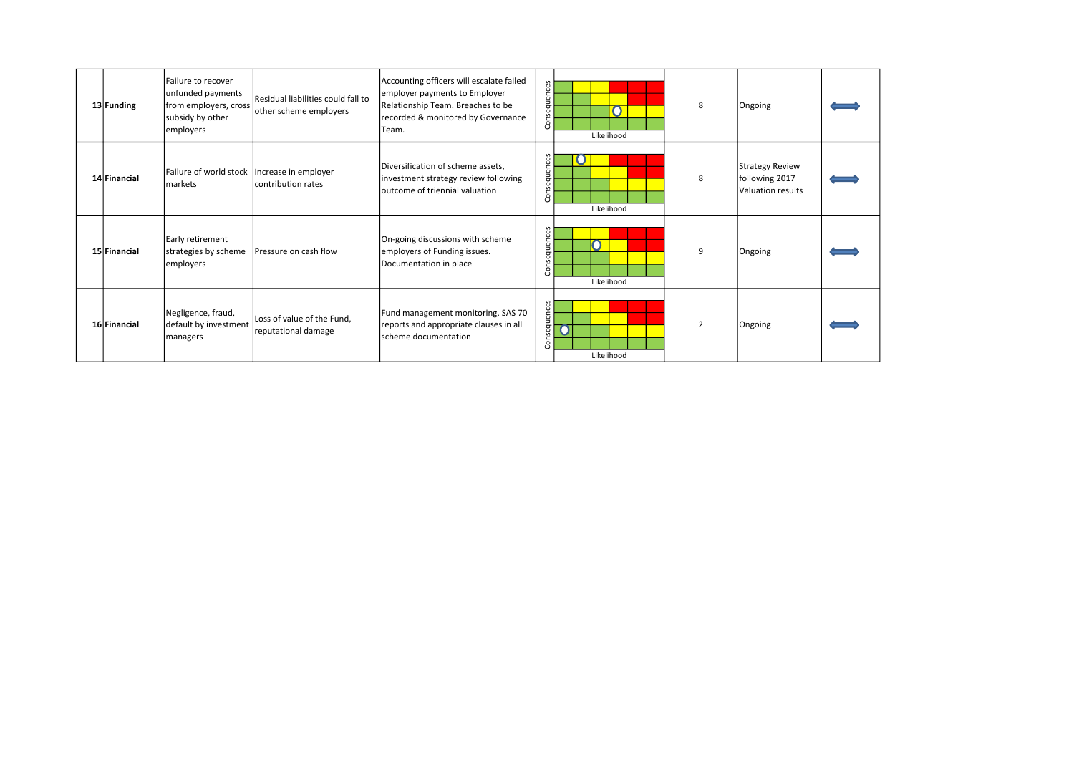| 13 Funding   | Failure to recover<br>unfunded payments<br>from employers, cross<br>subsidy by other<br>employers | Residual liabilities could fall to<br>other scheme employers | Accounting officers will escalate failed<br>employer payments to Employer<br>Relationship Team. Breaches to be<br>recorded & monitored by Governance<br>Team. | Consequences | $\mathbf O$<br>Likelihood | 8              | Ongoing                                                |  |
|--------------|---------------------------------------------------------------------------------------------------|--------------------------------------------------------------|---------------------------------------------------------------------------------------------------------------------------------------------------------------|--------------|---------------------------|----------------|--------------------------------------------------------|--|
| 14 Financial | Failure of world stock   Increase in employer<br>lmarkets                                         | lcontribution rates                                          | Diversification of scheme assets,<br>investment strategy review following<br>loutcome of triennial valuation                                                  | Consequences | Likelihood                | 8              | Strategy Review<br>following 2017<br>Valuation results |  |
| 15 Financial | Early retirement<br>strategies by scheme<br>employers                                             | Pressure on cash flow                                        | On-going discussions with scheme<br>employers of Funding issues.<br>Documentation in place                                                                    | Consequences | n<br>Likelihood           | 9              | Ongoing                                                |  |
| 16 Financial | Negligence, fraud,<br>default by investment<br>managers                                           | Loss of value of the Fund,<br>reputational damage            | Fund management monitoring, SAS 70<br>reports and appropriate clauses in all<br>scheme documentation                                                          | Consequences | n<br>Likelihood           | $\overline{2}$ | Ongoing                                                |  |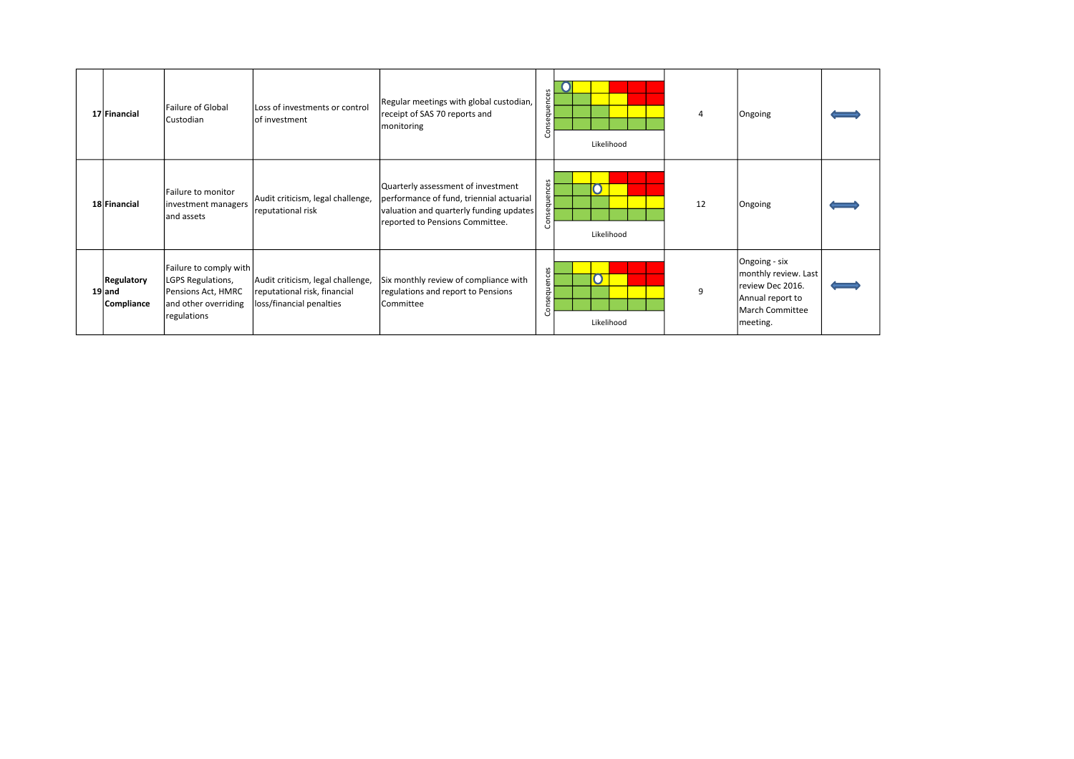| 17 Financial                                | Failure of Global<br>Custodian                                                                           | Loss of investments or control<br>of investment                                               | Regular meetings with global custodian,<br>receipt of SAS 70 reports and<br>monitoring                                                                       | ces<br>equeno<br>ō<br>င်္င | Likelihood      |    | Ongoing                                                                                                             |  |
|---------------------------------------------|----------------------------------------------------------------------------------------------------------|-----------------------------------------------------------------------------------------------|--------------------------------------------------------------------------------------------------------------------------------------------------------------|----------------------------|-----------------|----|---------------------------------------------------------------------------------------------------------------------|--|
| 18 Financial                                | Failure to monitor<br>investment managers<br>land assets                                                 | Audit criticism, legal challenge,<br>reputational risk                                        | Quarterly assessment of investment<br>performance of fund, triennial actuarial<br>valuation and quarterly funding updates<br>reported to Pensions Committee. | equences<br>š              | n<br>Likelihood | 12 | Ongoing                                                                                                             |  |
| <b>Regulatory</b><br>$19$ and<br>Compliance | Failure to comply with<br>LGPS Regulations,<br>Pensions Act, HMRC<br>and other overriding<br>regulations | Audit criticism, legal challenge,<br>reputational risk, financial<br>loss/financial penalties | Six monthly review of compliance with<br>regulations and report to Pensions<br>lCommittee                                                                    | sequences<br>δ             | 0<br>Likelihood | 9  | Ongoing - six<br>monthly review. Last<br>review Dec 2016.<br>Annual report to<br><b>March Committee</b><br>meeting. |  |